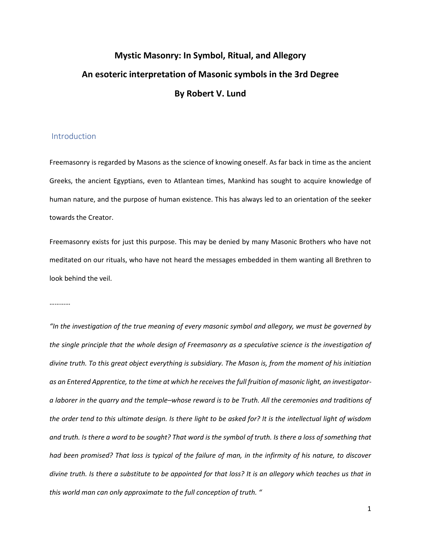# **Mystic Masonry: In Symbol, Ritual, and Allegory An esoteric interpretation of Masonic symbols in the 3rd Degree By Robert V. Lund**

## Introduction

Freemasonry is regarded by Masons as the science of knowing oneself. As far back in time as the ancient Greeks, the ancient Egyptians, even to Atlantean times, Mankind has sought to acquire knowledge of human nature, and the purpose of human existence. This has always led to an orientation of the seeker towards the Creator.

Freemasonry exists for just this purpose. This may be denied by many Masonic Brothers who have not meditated on our rituals, who have not heard the messages embedded in them wanting all Brethren to look behind the veil.

…………

*"In the investigation of the true meaning of every masonic symbol and allegory, we must be governed by the single principle that the whole design of Freemasonry as a speculative science is the investigation of divine truth. To this great object everything is subsidiary. The Mason is, from the moment of his initiation as an Entered Apprentice, to the time at which he receives the full fruition of masonic light, an investigatora laborer in the quarry and the temple–whose reward is to be Truth. All the ceremonies and traditions of the order tend to this ultimate design. Is there light to be asked for? It is the intellectual light of wisdom and truth. Is there a word to be sought? That word is the symbol of truth. Is there a loss of something that had been promised? That loss is typical of the failure of man, in the infirmity of his nature, to discover divine truth. Is there a substitute to be appointed for that loss? It is an allegory which teaches us that in this world man can only approximate to the full conception of truth. "*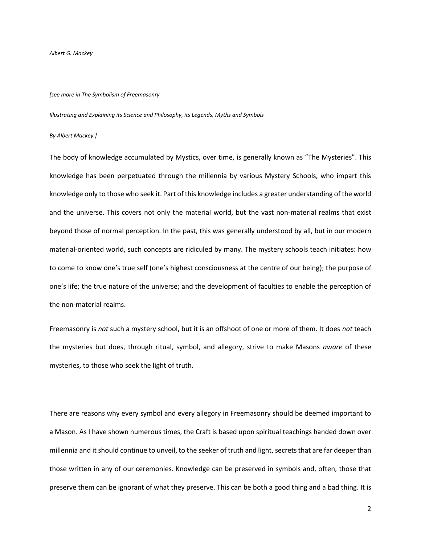*Albert G. Mackey*

#### *[see more in The Symbolism of Freemasonry*

*Illustrating and Explaining its Science and Philosophy, its Legends, Myths and Symbols*

#### *By Albert Mackey.]*

The body of knowledge accumulated by Mystics, over time, is generally known as "The Mysteries". This knowledge has been perpetuated through the millennia by various Mystery Schools, who impart this knowledge only to those who seek it. Part of this knowledge includes a greater understanding of the world and the universe. This covers not only the material world, but the vast non-material realms that exist beyond those of normal perception. In the past, this was generally understood by all, but in our modern material-oriented world, such concepts are ridiculed by many. The mystery schools teach initiates: how to come to know one's true self (one's highest consciousness at the centre of our being); the purpose of one's life; the true nature of the universe; and the development of faculties to enable the perception of the non-material realms.

Freemasonry is *not* such a mystery school, but it is an offshoot of one or more of them. It does *not* teach the mysteries but does, through ritual, symbol, and allegory, strive to make Masons *aware* of these mysteries, to those who seek the light of truth.

There are reasons why every symbol and every allegory in Freemasonry should be deemed important to a Mason. As I have shown numerous times, the Craft is based upon spiritual teachings handed down over millennia and it should continue to unveil, to the seeker of truth and light, secrets that are far deeper than those written in any of our ceremonies. Knowledge can be preserved in symbols and, often, those that preserve them can be ignorant of what they preserve. This can be both a good thing and a bad thing. It is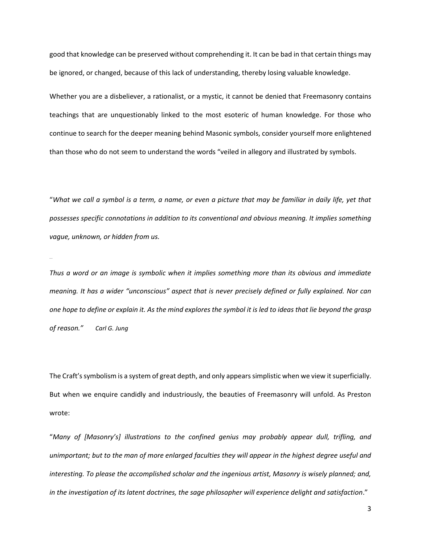good that knowledge can be preserved without comprehending it. It can be bad in that certain things may be ignored, or changed, because of this lack of understanding, thereby losing valuable knowledge.

Whether you are a disbeliever, a rationalist, or a mystic, it cannot be denied that Freemasonry contains teachings that are unquestionably linked to the most esoteric of human knowledge. For those who continue to search for the deeper meaning behind Masonic symbols, consider yourself more enlightened than those who do not seem to understand the words "veiled in allegory and illustrated by symbols.

"*What we call a symbol is a term, a name, or even a picture that may be familiar in daily life, yet that possesses specific connotations in addition to its conventional and obvious meaning. It implies something vague, unknown, or hidden from us.*

*…..*

*Thus a word or an image is symbolic when it implies something more than its obvious and immediate meaning. It has a wider "unconscious" aspect that is never precisely defined or fully explained. Nor can one hope to define or explain it. As the mind explores the symbol it is led to ideas that lie beyond the grasp of reason." Carl G. Jung*

The Craft's symbolism is a system of great depth, and only appears simplistic when we view it superficially. But when we enquire candidly and industriously, the beauties of Freemasonry will unfold. As Preston wrote:

"*Many of [Masonry's] illustrations to the confined genius may probably appear dull, trifling, and unimportant; but to the man of more enlarged faculties they will appear in the highest degree useful and interesting. To please the accomplished scholar and the ingenious artist, Masonry is wisely planned; and, in the investigation of its latent doctrines, the sage philosopher will experience delight and satisfaction*."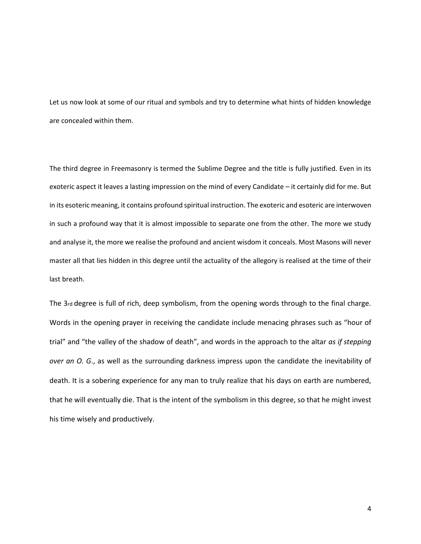Let us now look at some of our ritual and symbols and try to determine what hints of hidden knowledge are concealed within them.

The third degree in Freemasonry is termed the Sublime Degree and the title is fully justified. Even in its exoteric aspect it leaves a lasting impression on the mind of every Candidate – it certainly did for me. But in its esoteric meaning, it contains profound spiritual instruction. The exoteric and esoteric are interwoven in such a profound way that it is almost impossible to separate one from the other. The more we study and analyse it, the more we realise the profound and ancient wisdom it conceals. Most Masons will never master all that lies hidden in this degree until the actuality of the allegory is realised at the time of their last breath.

The 3rd degree is full of rich, deep symbolism, from the opening words through to the final charge. Words in the opening prayer in receiving the candidate include menacing phrases such as "hour of trial" and "the valley of the shadow of death", and words in the approach to the altar *as if stepping over an O. G*., as well as the surrounding darkness impress upon the candidate the inevitability of death. It is a sobering experience for any man to truly realize that his days on earth are numbered, that he will eventually die. That is the intent of the symbolism in this degree, so that he might invest his time wisely and productively.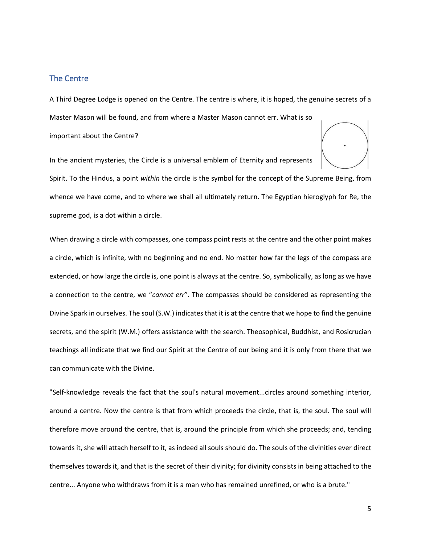## The Centre

A Third Degree Lodge is opened on the Centre. The centre is where, it is hoped, the genuine secrets of a

Master Mason will be found, and from where a Master Mason cannot err. What is so important about the Centre?

In the ancient mysteries, the Circle is a universal emblem of Eternity and represents



Spirit. To the Hindus, a point *within* the circle is the symbol for the concept of the Supreme Being, from whence we have come, and to where we shall all ultimately return. The Egyptian hieroglyph for Re, the supreme god, is a dot within a circle.

When drawing a circle with compasses, one compass point rests at the centre and the other point makes a circle, which is infinite, with no beginning and no end. No matter how far the legs of the compass are extended, or how large the circle is, one point is always at the centre. So, symbolically, as long as we have a connection to the centre, we "*cannot err*". The compasses should be considered as representing the Divine Spark in ourselves. The soul (S.W.) indicates that it is at the centre that we hope to find the genuine secrets, and the spirit (W.M.) offers assistance with the search. Theosophical, Buddhist, and Rosicrucian teachings all indicate that we find our Spirit at the Centre of our being and it is only from there that we can communicate with the Divine.

"Self-knowledge reveals the fact that the soul's natural movement...circles around something interior, around a centre. Now the centre is that from which proceeds the circle, that is, the soul. The soul will therefore move around the centre, that is, around the principle from which she proceeds; and, tending towards it, she will attach herself to it, as indeed all souls should do. The souls of the divinities ever direct themselves towards it, and that is the secret of their divinity; for divinity consists in being attached to the centre... Anyone who withdraws from it is a man who has remained unrefined, or who is a brute."

5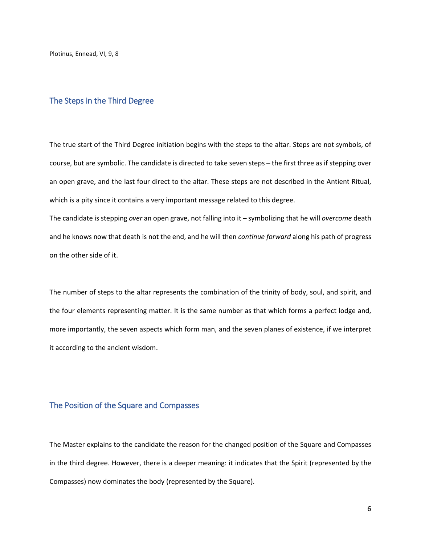Plotinus, Ennead, VI, 9, 8

## The Steps in the Third Degree

The true start of the Third Degree initiation begins with the steps to the altar. Steps are not symbols, of course, but are symbolic. The candidate is directed to take seven steps – the first three as if stepping over an open grave, and the last four direct to the altar. These steps are not described in the Antient Ritual, which is a pity since it contains a very important message related to this degree.

The candidate is stepping *over* an open grave, not falling into it – symbolizing that he will *overcome* death and he knows now that death is not the end, and he will then *continue forward* along his path of progress on the other side of it.

The number of steps to the altar represents the combination of the trinity of body, soul, and spirit, and the four elements representing matter. It is the same number as that which forms a perfect lodge and, more importantly, the seven aspects which form man, and the seven planes of existence, if we interpret it according to the ancient wisdom.

## The Position of the Square and Compasses

The Master explains to the candidate the reason for the changed position of the Square and Compasses in the third degree. However, there is a deeper meaning: it indicates that the Spirit (represented by the Compasses) now dominates the body (represented by the Square).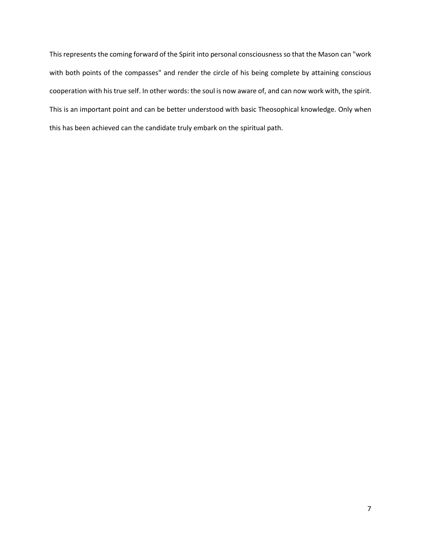This represents the coming forward of the Spirit into personal consciousness so that the Mason can "work with both points of the compasses" and render the circle of his being complete by attaining conscious cooperation with his true self. In other words: the soul is now aware of, and can now work with, the spirit. This is an important point and can be better understood with basic Theosophical knowledge. Only when this has been achieved can the candidate truly embark on the spiritual path.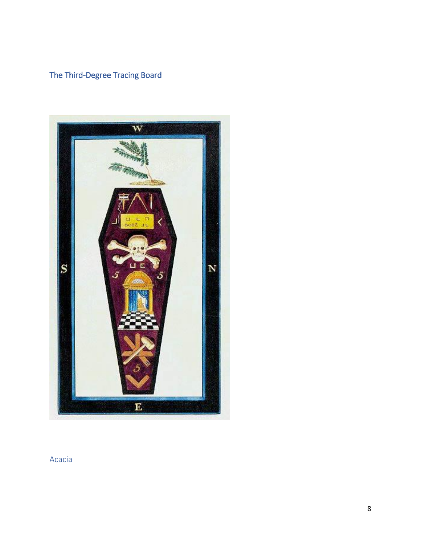## The Third-Degree Tracing Board



Acacia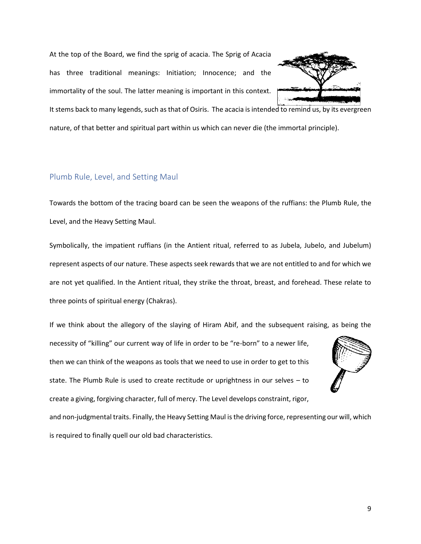At the top of the Board, we find the sprig of acacia. The Sprig of Acacia has three traditional meanings: Initiation; Innocence; and the immortality of the soul. The latter meaning is important in this context.



It stems back to many legends, such as that of Osiris. The acacia is intended to remind us, by its evergreen nature, of that better and spiritual part within us which can never die (the immortal principle).

## Plumb Rule, Level, and Setting Maul

Towards the bottom of the tracing board can be seen the weapons of the ruffians: the Plumb Rule, the Level, and the Heavy Setting Maul.

Symbolically, the impatient ruffians (in the Antient ritual, referred to as Jubela, Jubelo, and Jubelum) represent aspects of our nature. These aspects seek rewards that we are not entitled to and for which we are not yet qualified. In the Antient ritual, they strike the throat, breast, and forehead. These relate to three points of spiritual energy (Chakras).

If we think about the allegory of the slaying of Hiram Abif, and the subsequent raising, as being the

necessity of "killing" our current way of life in order to be "re-born" to a newer life, then we can think of the weapons as tools that we need to use in order to get to this state. The Plumb Rule is used to create rectitude or uprightness in our selves – to create a giving, forgiving character, full of mercy. The Level develops constraint, rigor,



and non-judgmental traits. Finally, the Heavy Setting Maul is the driving force, representing our will, which is required to finally quell our old bad characteristics.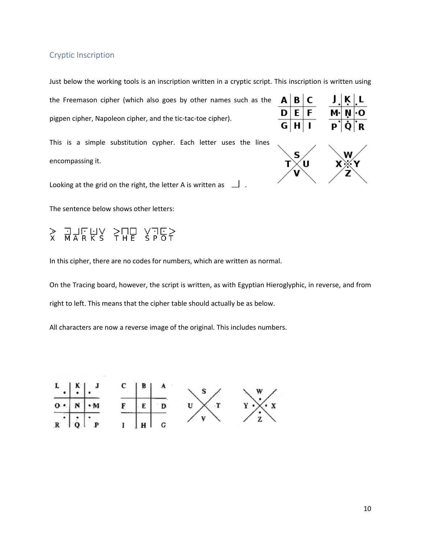## Cryptic Inscription

Just below the working tools is an inscription written in a cryptic script. This inscription is written using

the Freemason cipher (which also goes by other names such as the pigpen cipher, Napoleon cipher, and the tic-tac-toe cipher).

This is a simple substitution cypher. Each letter uses the lines encompassing it.

Looking at the grid on the right, the letter A is written as  $\Box$ .

The sentence below shows other letters:

## $J/TUV$   $>$  $TU$   $V$  $TE$   $>$ <br>MARKS THE SPOT  $\frac{1}{x}$

In this cipher, there are no codes for numbers, which are written as normal.

On the Tracing board, however, the script is written, as with Egyptian Hieroglyphic, in reverse, and from right to left. This means that the cipher table should actually be as below.

All characters are now a reverse image of the original. This includes numbers.



| $A \,   \, B \,   \, C$                                                                                                                                                 |  |  |
|-------------------------------------------------------------------------------------------------------------------------------------------------------------------------|--|--|
| $\begin{array}{c c}\n\overrightarrow{D} & \overrightarrow{E} & \overrightarrow{F} \\ \hline\n\overrightarrow{G} & \overrightarrow{H} & \overrightarrow{I}\n\end{array}$ |  |  |
|                                                                                                                                                                         |  |  |
|                                                                                                                                                                         |  |  |

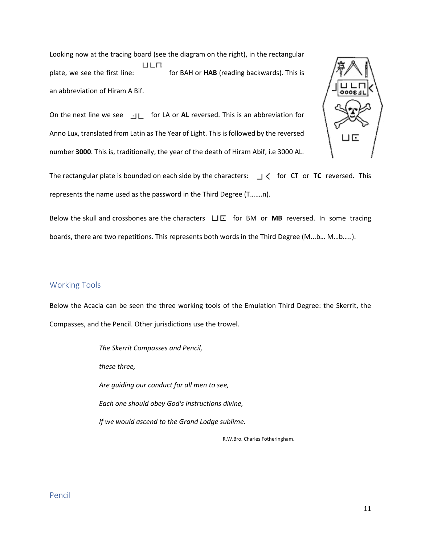Looking now at the tracing board (see the diagram on the right), in the rectangular ЦЕП plate, we see the first line: for BAH or **HAB** (reading backwards). This is an abbreviation of Hiram A Bif.

On the next line we see <br>  $\exists L$  for LA or **AL** reversed. This is an abbreviation for Anno Lux, translated from Latin as The Year of Light. This is followed by the reversed number **3000**. This is, traditionally, the year of the death of Hiram Abif, i.e 3000 AL.



The rectangular plate is bounded on each side by the characters:  $\Box \zeta$  for CT or **TC** reversed. This represents the name used as the password in the Third Degree (T…….n).

Below the skull and crossbones are the characters  $\Box E$  for BM or MB reversed. In some tracing boards, there are two repetitions. This represents both words in the Third Degree (M...b… M…b…..).

## Working Tools

Below the Acacia can be seen the three working tools of the Emulation Third Degree: the Skerrit, the Compasses, and the Pencil. Other jurisdictions use the trowel.

> *The Skerrit Compasses and Pencil, these three, Are guiding our conduct for all men to see, Each one should obey God's instructions divine, If we would ascend to the Grand Lodge sublime.*

> > R.W.Bro. Charles Fotheringham.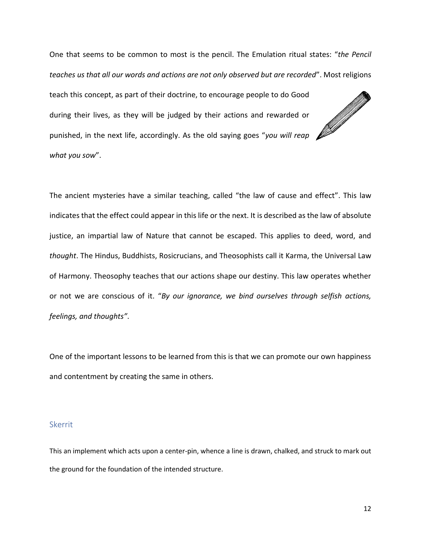One that seems to be common to most is the pencil. The Emulation ritual states: "*the Pencil teaches us that all our words and actions are not only observed but are recorded*". Most religions

teach this concept, as part of their doctrine, to encourage people to do Good during their lives, as they will be judged by their actions and rewarded or punished, in the next life, accordingly. As the old saying goes "*you will reap what you sow*".



The ancient mysteries have a similar teaching, called "the law of cause and effect". This law indicates that the effect could appear in this life or the next. It is described as the law of absolute justice, an impartial law of Nature that cannot be escaped. This applies to deed, word, and *thought*. The Hindus, Buddhists, Rosicrucians, and Theosophists call it Karma, the Universal Law of Harmony. Theosophy teaches that our actions shape our destiny. This law operates whether or not we are conscious of it. "*By our ignorance, we bind ourselves through selfish actions, feelings, and thoughts"*.

One of the important lessons to be learned from this is that we can promote our own happiness and contentment by creating the same in others.

## Skerrit

This an implement which acts upon a center-pin, whence a line is drawn, chalked, and struck to mark out the ground for the foundation of the intended structure.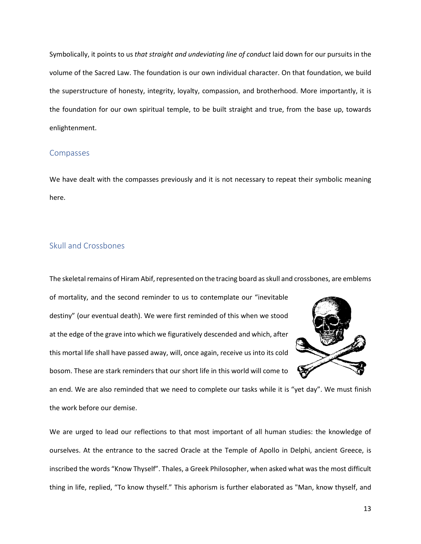Symbolically, it points to us *that straight and undeviating line of conduct* laid down for our pursuits in the volume of the Sacred Law. The foundation is our own individual character. On that foundation, we build the superstructure of honesty, integrity, loyalty, compassion, and brotherhood. More importantly, it is the foundation for our own spiritual temple, to be built straight and true, from the base up, towards enlightenment.

#### Compasses

We have dealt with the compasses previously and it is not necessary to repeat their symbolic meaning here.

## Skull and Crossbones

The skeletal remains of Hiram Abif, represented on the tracing board as skull and crossbones, are emblems

of mortality, and the second reminder to us to contemplate our "inevitable destiny" (our eventual death). We were first reminded of this when we stood at the edge of the grave into which we figuratively descended and which, after this mortal life shall have passed away, will, once again, receive us into its cold bosom. These are stark reminders that our short life in this world will come to



an end. We are also reminded that we need to complete our tasks while it is "yet day". We must finish the work before our demise.

We are urged to lead our reflections to that most important of all human studies: the knowledge of ourselves. At the entrance to the sacred Oracle at the Temple of Apollo in Delphi, ancient Greece, is inscribed the words "Know Thyself". Thales, a Greek Philosopher, when asked what was the most difficult thing in life, replied, "To know thyself." This aphorism is further elaborated as "Man, know thyself, and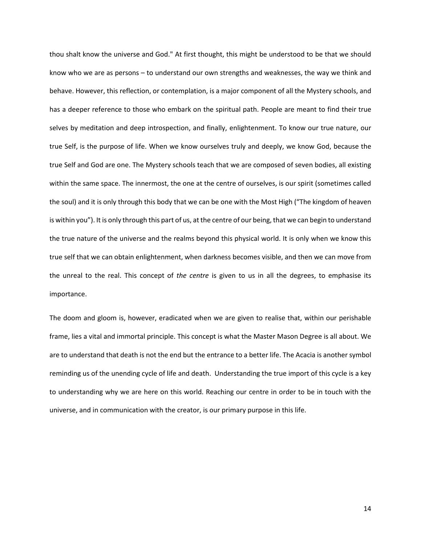thou shalt know the universe and God." At first thought, this might be understood to be that we should know who we are as persons – to understand our own strengths and weaknesses, the way we think and behave. However, this reflection, or contemplation, is a major component of all the Mystery schools, and has a deeper reference to those who embark on the spiritual path. People are meant to find their true selves by meditation and deep introspection, and finally, enlightenment. To know our true nature, our true Self, is the purpose of life. When we know ourselves truly and deeply, we know God, because the true Self and God are one. The Mystery schools teach that we are composed of seven bodies, all existing within the same space. The innermost, the one at the centre of ourselves, is our spirit (sometimes called the soul) and it is only through this body that we can be one with the Most High ("The kingdom of heaven is within you"). It is only through this part of us, at the centre of our being, that we can begin to understand the true nature of the universe and the realms beyond this physical world. It is only when we know this true self that we can obtain enlightenment, when darkness becomes visible, and then we can move from the unreal to the real. This concept of *the centre* is given to us in all the degrees, to emphasise its importance.

The doom and gloom is, however, eradicated when we are given to realise that, within our perishable frame, lies a vital and immortal principle. This concept is what the Master Mason Degree is all about. We are to understand that death is not the end but the entrance to a better life. The Acacia is another symbol reminding us of the unending cycle of life and death. Understanding the true import of this cycle is a key to understanding why we are here on this world. Reaching our centre in order to be in touch with the universe, and in communication with the creator, is our primary purpose in this life.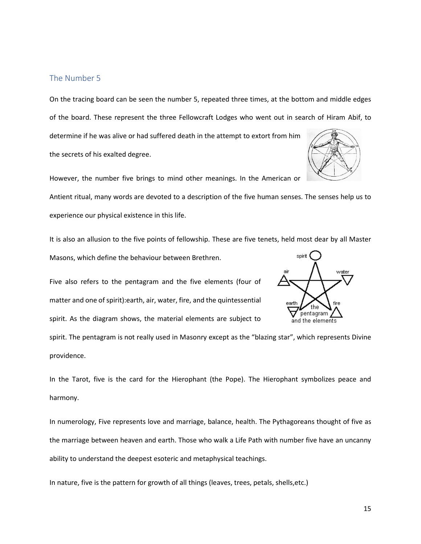## The Number 5

On the tracing board can be seen the number 5, repeated three times, at the bottom and middle edges of the board. These represent the three Fellowcraft Lodges who went out in search of Hiram Abif, to determine if he was alive or had suffered death in the attempt to extort from him the secrets of his exalted degree.

However, the number five brings to mind other meanings. In the American or

Antient ritual, many words are devoted to a description of the five human senses. The senses help us to experience our physical existence in this life.

It is also an allusion to the five points of fellowship. These are five tenets, held most dear by all Master

Masons, which define the behaviour between Brethren.

Five also refers to the pentagram and the five elements (four of matter and one of spirit):earth, air, water, fire, and the quintessential spirit. As the diagram shows, the material elements are subject to

spirit. The pentagram is not really used in Masonry except as the "blazing star", which represents Divine providence.

In the Tarot, five is the card for the Hierophant (the Pope). The Hierophant symbolizes peace and harmony.

In numerology, Five represents love and marriage, balance, health. The Pythagoreans thought of five as the marriage between heaven and earth. Those who walk a Life Path with number five have an uncanny ability to understand the deepest esoteric and metaphysical teachings.

In nature, five is the pattern for growth of all things (leaves, trees, petals, shells,etc.)

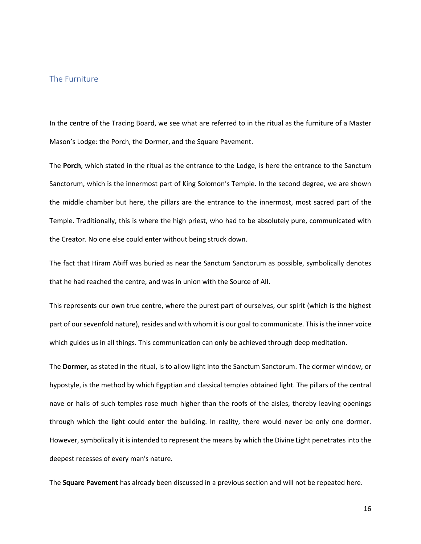## The Furniture

In the centre of the Tracing Board, we see what are referred to in the ritual as the furniture of a Master Mason's Lodge: the Porch, the Dormer, and the Square Pavement.

The **Porch**, which stated in the ritual as the entrance to the Lodge, is here the entrance to the Sanctum Sanctorum, which is the innermost part of King Solomon's Temple. In the second degree, we are shown the middle chamber but here, the pillars are the entrance to the innermost, most sacred part of the Temple. Traditionally, this is where the high priest, who had to be absolutely pure, communicated with the Creator. No one else could enter without being struck down.

The fact that Hiram Abiff was buried as near the Sanctum Sanctorum as possible, symbolically denotes that he had reached the centre, and was in union with the Source of All.

This represents our own true centre, where the purest part of ourselves, our spirit (which is the highest part of our sevenfold nature), resides and with whom it is our goal to communicate. This is the inner voice which guides us in all things. This communication can only be achieved through deep meditation.

The **Dormer,** as stated in the ritual, is to allow light into the Sanctum Sanctorum. The dormer window, or hypostyle, is the method by which Egyptian and classical temples obtained light. The pillars of the central nave or halls of such temples rose much higher than the roofs of the aisles, thereby leaving openings through which the light could enter the building. In reality, there would never be only one dormer. However, symbolically it is intended to represent the means by which the Divine Light penetrates into the deepest recesses of every man's nature.

The **Square Pavement** has already been discussed in a previous section and will not be repeated here.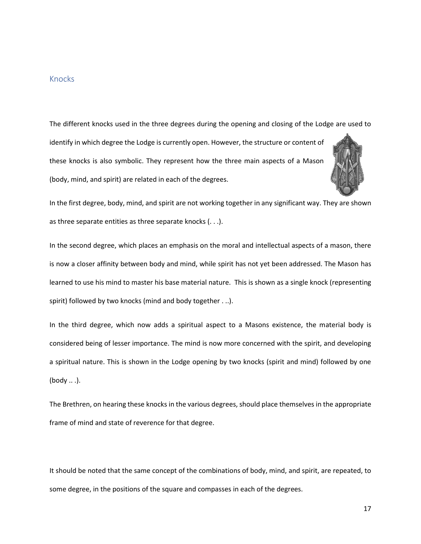## Knocks

The different knocks used in the three degrees during the opening and closing of the Lodge are used to identify in which degree the Lodge is currently open. However, the structure or content of these knocks is also symbolic. They represent how the three main aspects of a Mason (body, mind, and spirit) are related in each of the degrees.



In the first degree, body, mind, and spirit are not working together in any significant way. They are shown as three separate entities as three separate knocks (. . .).

In the second degree, which places an emphasis on the moral and intellectual aspects of a mason, there is now a closer affinity between body and mind, while spirit has not yet been addressed. The Mason has learned to use his mind to master his base material nature. This is shown as a single knock (representing spirit) followed by two knocks (mind and body together . ..).

In the third degree, which now adds a spiritual aspect to a Masons existence, the material body is considered being of lesser importance. The mind is now more concerned with the spirit, and developing a spiritual nature. This is shown in the Lodge opening by two knocks (spirit and mind) followed by one (body .. .).

The Brethren, on hearing these knocks in the various degrees, should place themselves in the appropriate frame of mind and state of reverence for that degree.

It should be noted that the same concept of the combinations of body, mind, and spirit, are repeated, to some degree, in the positions of the square and compasses in each of the degrees.